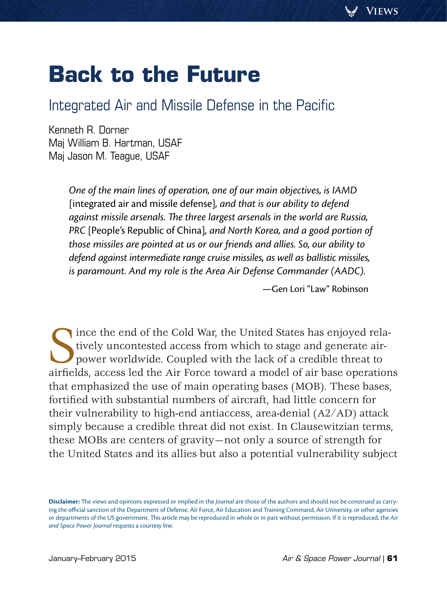# **Back to the Future**

# Integrated Air and Missile Defense in the Pacific

Kenneth R. Dorner [Maj William B. Hartman, USAF](#page-16-0) Maj Jason M. Teague, USAF

> *One of the main lines of operation, one of our main objectives, is IAMD*  [integrated air and missile defense]*, and that is our ability to defend against missile arsenals. The three largest arsenals in the world are Russia, PRC* [People's Republic of China]*, and North Korea, and a good portion of those missiles are pointed at us or our friends and allies. So, our ability to defend against intermediate range cruise missiles, as well as ballistic missiles, is paramount. And my role is the Area Air Defense Commander (AADC).*

> > —Gen Lori "Law" Robinson

Since the end of the Cold War, the United States has enjoyed rela-<br>tively uncontested access from which to stage and generate air-<br>power worldwide. Coupled with the lack of a credible threat to<br>airfields, access led the Ai tively uncontested access from which to stage and generate airpower worldwide. Coupled with the lack of a credible threat to airfields, access led the Air Force toward a model of air base operations that emphasized the use of main operating bases (MOB). These bases, fortified with substantial numbers of aircraft, had little concern for their vulnerability to high-end antiaccess, area-denial (A2/AD) attack simply because a credible threat did not exist. In Clausewitzian terms, these MOBs are centers of gravity—not only a source of strength for the United States and its allies but also a potential vulnerability subject

**Disclaimer:** The views and opinions expressed or implied in the *Journal* are those of the authors and should not be construed as carrying the official sanction of the Department of Defense, Air Force, Air Education and Training Command, Air University, or other agencies or departments of the US government. This article may be reproduced in whole or in part without permission. If it is reproduced, the *Air and Space Power Journal* requests a courtesy line.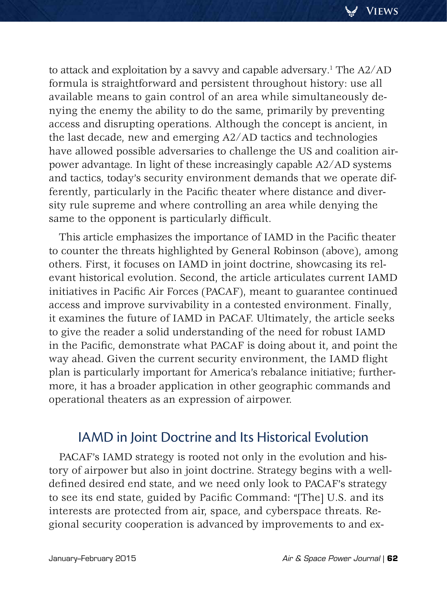to attack and exploitation by a savvy and capable adversary.1 The A2/AD formula is straightforward and persistent throughout history: use all available means to gain control of an area while simultaneously denying the enemy the ability to do the same, primarily by preventing access and disrupting operations. Although the concept is ancient, in the last decade, new and emerging A2/AD tactics and technologies have allowed possible adversaries to challenge the US and coalition airpower advantage. In light of these increasingly capable A2/AD systems and tactics, today's security environment demands that we operate differently, particularly in the Pacific theater where distance and diversity rule supreme and where controlling an area while denying the same to the opponent is particularly difficult.

This article emphasizes the importance of IAMD in the Pacific theater to counter the threats highlighted by General Robinson (above), among others. First, it focuses on IAMD in joint doctrine, showcasing its relevant historical evolution. Second, the article articulates current IAMD initiatives in Pacific Air Forces (PACAF), meant to guarantee continued access and improve survivability in a contested environment. Finally, it examines the future of IAMD in PACAF. Ultimately, the article seeks to give the reader a solid understanding of the need for robust IAMD in the Pacific, demonstrate what PACAF is doing about it, and point the way ahead. Given the current security environment, the IAMD flight plan is particularly important for America's rebalance initiative; furthermore, it has a broader application in other geographic commands and operational theaters as an expression of airpower.

## IAMD in Joint Doctrine and Its Historical Evolution

PACAF's IAMD strategy is rooted not only in the evolution and history of airpower but also in joint doctrine. Strategy begins with a welldefined desired end state, and we need only look to PACAF's strategy to see its end state, guided by Pacific Command: "[The] U.S. and its interests are protected from air, space, and cyberspace threats. Regional security cooperation is advanced by improvements to and ex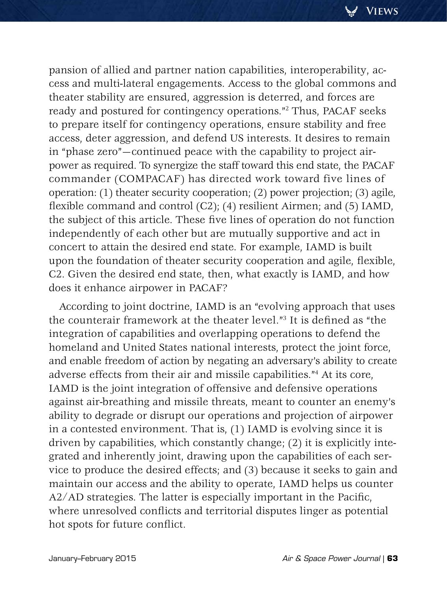pansion of allied and partner nation capabilities, interoperability, access and multi-lateral engagements. Access to the global commons and theater stability are ensured, aggression is deterred, and forces are ready and postured for contingency operations."2 Thus, PACAF seeks to prepare itself for contingency operations, ensure stability and free access, deter aggression, and defend US interests. It desires to remain in "phase zero"—continued peace with the capability to project airpower as required. To synergize the staff toward this end state, the PACAF commander (COMPACAF) has directed work toward five lines of operation: (1) theater security cooperation; (2) power projection; (3) agile, flexible command and control (C2); (4) resilient Airmen; and (5) IAMD, the subject of this article. These five lines of operation do not function independently of each other but are mutually supportive and act in concert to attain the desired end state. For example, IAMD is built upon the foundation of theater security cooperation and agile, flexible, C2. Given the desired end state, then, what exactly is IAMD, and how does it enhance airpower in PACAF?

According to joint doctrine, IAMD is an "evolving approach that uses the counterair framework at the theater level."3 It is defined as "the integration of capabilities and overlapping operations to defend the homeland and United States national interests, protect the joint force, and enable freedom of action by negating an adversary's ability to create adverse effects from their air and missile capabilities."4 At its core, IAMD is the joint integration of offensive and defensive operations against air-breathing and missile threats, meant to counter an enemy's ability to degrade or disrupt our operations and projection of airpower in a contested environment. That is, (1) IAMD is evolving since it is driven by capabilities, which constantly change; (2) it is explicitly integrated and inherently joint, drawing upon the capabilities of each service to produce the desired effects; and (3) because it seeks to gain and maintain our access and the ability to operate, IAMD helps us counter A2/AD strategies. The latter is especially important in the Pacific, where unresolved conflicts and territorial disputes linger as potential hot spots for future conflict.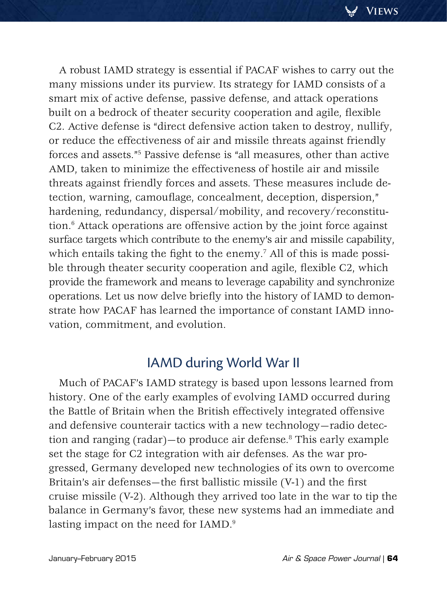**Views**

A robust IAMD strategy is essential if PACAF wishes to carry out the many missions under its purview. Its strategy for IAMD consists of a smart mix of active defense, passive defense, and attack operations built on a bedrock of theater security cooperation and agile, flexible C2. Active defense is "direct defensive action taken to destroy, nullify, or reduce the effectiveness of air and missile threats against friendly forces and assets."5 Passive defense is "all measures, other than active AMD, taken to minimize the effectiveness of hostile air and missile threats against friendly forces and assets. These measures include detection, warning, camouflage, concealment, deception, dispersion," hardening, redundancy, dispersal/mobility, and recovery/reconstitution.6 Attack operations are offensive action by the joint force against surface targets which contribute to the enemy's air and missile capability, which entails taking the fight to the enemy. $^7$  All of this is made possible through theater security cooperation and agile, flexible C2, which provide the framework and means to leverage capability and synchronize operations. Let us now delve briefly into the history of IAMD to demonstrate how PACAF has learned the importance of constant IAMD innovation, commitment, and evolution.

## IAMD during World War II

Much of PACAF's IAMD strategy is based upon lessons learned from history. One of the early examples of evolving IAMD occurred during the Battle of Britain when the British effectively integrated offensive and defensive counterair tactics with a new technology—radio detection and ranging (radar)—to produce air defense.8 This early example set the stage for C2 integration with air defenses. As the war progressed, Germany developed new technologies of its own to overcome Britain's air defenses—the first ballistic missile (V-1) and the first cruise missile (V-2). Although they arrived too late in the war to tip the balance in Germany's favor, these new systems had an immediate and lasting impact on the need for IAMD.<sup>9</sup>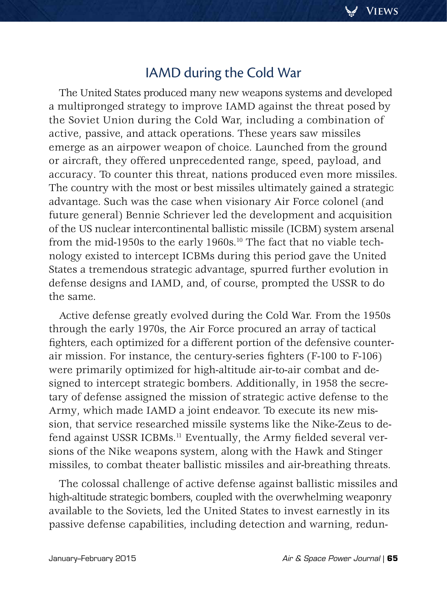# IAMD during the Cold War

The United States produced many new weapons systems and developed a multipronged strategy to improve IAMD against the threat posed by the Soviet Union during the Cold War, including a combination of active, passive, and attack operations. These years saw missiles emerge as an airpower weapon of choice. Launched from the ground or aircraft, they offered unprecedented range, speed, payload, and accuracy. To counter this threat, nations produced even more missiles. The country with the most or best missiles ultimately gained a strategic advantage. Such was the case when visionary Air Force colonel (and future general) Bennie Schriever led the development and acquisition of the US nuclear intercontinental ballistic missile (ICBM) system arsenal from the mid-1950s to the early 1960s.<sup>10</sup> The fact that no viable technology existed to intercept ICBMs during this period gave the United States a tremendous strategic advantage, spurred further evolution in defense designs and IAMD, and, of course, prompted the USSR to do the same.

Active defense greatly evolved during the Cold War. From the 1950s through the early 1970s, the Air Force procured an array of tactical fighters, each optimized for a different portion of the defensive counterair mission. For instance, the century-series fighters (F-100 to F-106) were primarily optimized for high-altitude air-to-air combat and designed to intercept strategic bombers. Additionally, in 1958 the secretary of defense assigned the mission of strategic active defense to the Army, which made IAMD a joint endeavor. To execute its new mission, that service researched missile systems like the Nike-Zeus to defend against USSR ICBMs.<sup>11</sup> Eventually, the Army fielded several versions of the Nike weapons system, along with the Hawk and Stinger missiles, to combat theater ballistic missiles and air-breathing threats.

The colossal challenge of active defense against ballistic missiles and high-altitude strategic bombers, coupled with the overwhelming weaponry available to the Soviets, led the United States to invest earnestly in its passive defense capabilities, including detection and warning, redun-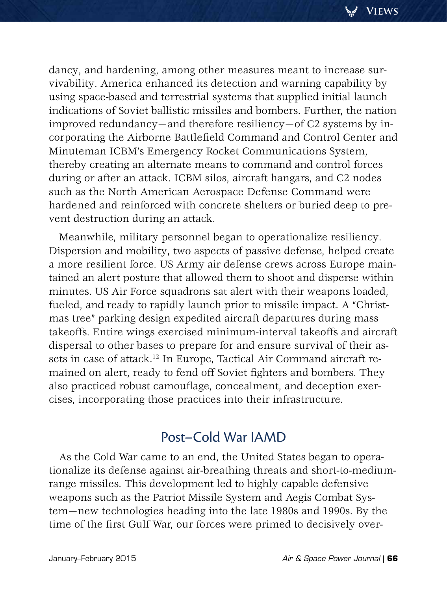dancy, and hardening, among other measures meant to increase survivability. America enhanced its detection and warning capability by using space-based and terrestrial systems that supplied initial launch indications of Soviet ballistic missiles and bombers. Further, the nation improved redundancy—and therefore resiliency—of C2 systems by incorporating the Airborne Battlefield Command and Control Center and Minuteman ICBM's Emergency Rocket Communications System, thereby creating an alternate means to command and control forces during or after an attack. ICBM silos, aircraft hangars, and C2 nodes such as the North American Aerospace Defense Command were hardened and reinforced with concrete shelters or buried deep to prevent destruction during an attack.

Meanwhile, military personnel began to operationalize resiliency. Dispersion and mobility, two aspects of passive defense, helped create a more resilient force. US Army air defense crews across Europe maintained an alert posture that allowed them to shoot and disperse within minutes. US Air Force squadrons sat alert with their weapons loaded, fueled, and ready to rapidly launch prior to missile impact. A "Christmas tree" parking design expedited aircraft departures during mass takeoffs. Entire wings exercised minimum-interval takeoffs and aircraft dispersal to other bases to prepare for and ensure survival of their assets in case of attack.<sup>12</sup> In Europe, Tactical Air Command aircraft remained on alert, ready to fend off Soviet fighters and bombers. They also practiced robust camouflage, concealment, and deception exercises, incorporating those practices into their infrastructure.

# Post–Cold War IAMD

As the Cold War came to an end, the United States began to operationalize its defense against air-breathing threats and short-to-mediumrange missiles. This development led to highly capable defensive weapons such as the Patriot Missile System and Aegis Combat System—new technologies heading into the late 1980s and 1990s. By the time of the first Gulf War, our forces were primed to decisively over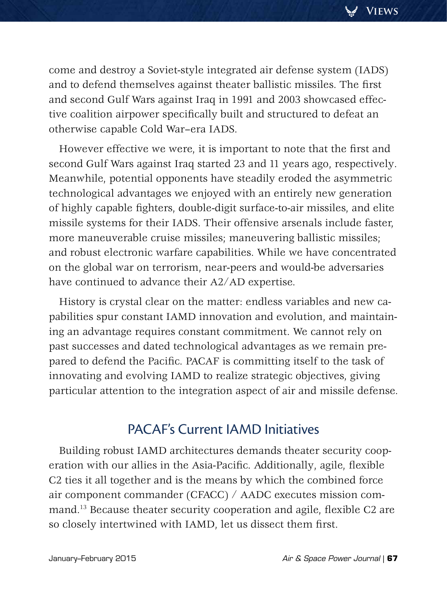come and destroy a Soviet-style integrated air defense system (IADS) and to defend themselves against theater ballistic missiles. The first and second Gulf Wars against Iraq in 1991 and 2003 showcased effective coalition airpower specifically built and structured to defeat an otherwise capable Cold War–era IADS.

However effective we were, it is important to note that the first and second Gulf Wars against Iraq started 23 and 11 years ago, respectively. Meanwhile, potential opponents have steadily eroded the asymmetric technological advantages we enjoyed with an entirely new generation of highly capable fighters, double-digit surface-to-air missiles, and elite missile systems for their IADS. Their offensive arsenals include faster, more maneuverable cruise missiles; maneuvering ballistic missiles; and robust electronic warfare capabilities. While we have concentrated on the global war on terrorism, near-peers and would-be adversaries have continued to advance their A2/AD expertise.

History is crystal clear on the matter: endless variables and new capabilities spur constant IAMD innovation and evolution, and maintaining an advantage requires constant commitment. We cannot rely on past successes and dated technological advantages as we remain prepared to defend the Pacific. PACAF is committing itself to the task of innovating and evolving IAMD to realize strategic objectives, giving particular attention to the integration aspect of air and missile defense.

# PACAF's Current IAMD Initiatives

Building robust IAMD architectures demands theater security cooperation with our allies in the Asia-Pacific. Additionally, agile, flexible C2 ties it all together and is the means by which the combined force air component commander (CFACC) / AADC executes mission command.13 Because theater security cooperation and agile, flexible C2 are so closely intertwined with IAMD, let us dissect them first.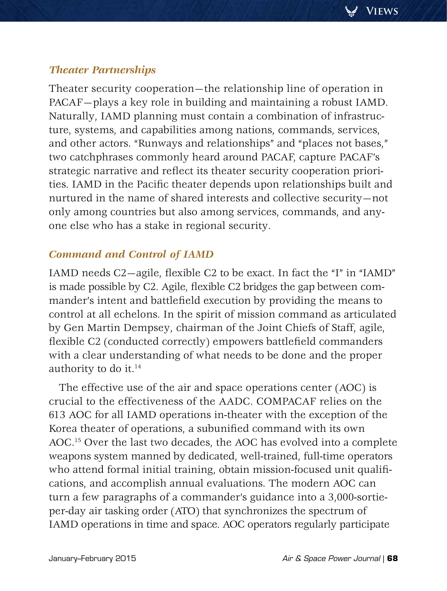## *Theater Partnerships*

Theater security cooperation—the relationship line of operation in PACAF—plays a key role in building and maintaining a robust IAMD. Naturally, IAMD planning must contain a combination of infrastructure, systems, and capabilities among nations, commands, services, and other actors. "Runways and relationships" and "places not bases," two catchphrases commonly heard around PACAF, capture PACAF's strategic narrative and reflect its theater security cooperation priorities. IAMD in the Pacific theater depends upon relationships built and nurtured in the name of shared interests and collective security—not only among countries but also among services, commands, and anyone else who has a stake in regional security.

## *Command and Control of IAMD*

IAMD needs C2—agile, flexible C2 to be exact. In fact the "I" in "IAMD" is made possible by C2. Agile, flexible C2 bridges the gap between commander's intent and battlefield execution by providing the means to control at all echelons. In the spirit of mission command as articulated by Gen Martin Dempsey, chairman of the Joint Chiefs of Staff, agile, flexible C2 (conducted correctly) empowers battlefield commanders with a clear understanding of what needs to be done and the proper authority to do it.<sup>14</sup>

The effective use of the air and space operations center (AOC) is crucial to the effectiveness of the AADC. COMPACAF relies on the 613 AOC for all IAMD operations in-theater with the exception of the Korea theater of operations, a subunified command with its own AOC.15 Over the last two decades, the AOC has evolved into a complete weapons system manned by dedicated, well-trained, full-time operators who attend formal initial training, obtain mission-focused unit qualifications, and accomplish annual evaluations. The modern AOC can turn a few paragraphs of a commander's guidance into a 3,000-sortieper-day air tasking order (ATO) that synchronizes the spectrum of IAMD operations in time and space. AOC operators regularly participate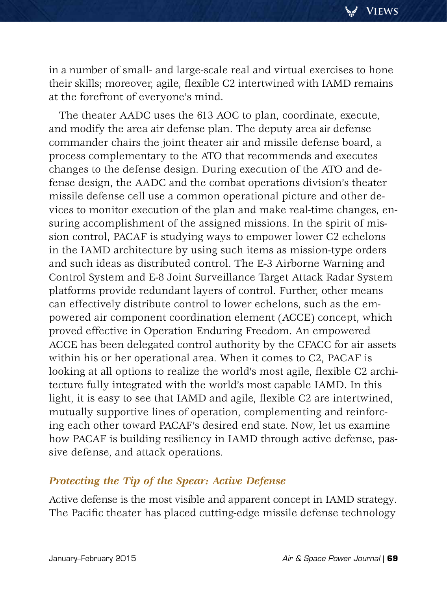in a number of small- and large-scale real and virtual exercises to hone their skills; moreover, agile, flexible C2 intertwined with IAMD remains at the forefront of everyone's mind.

The theater AADC uses the 613 AOC to plan, coordinate, execute, and modify the area air defense plan. The deputy area air defense commander chairs the joint theater air and missile defense board, a process complementary to the ATO that recommends and executes changes to the defense design. During execution of the ATO and defense design, the AADC and the combat operations division's theater missile defense cell use a common operational picture and other devices to monitor execution of the plan and make real-time changes, ensuring accomplishment of the assigned missions. In the spirit of mission control, PACAF is studying ways to empower lower C2 echelons in the IAMD architecture by using such items as mission-type orders and such ideas as distributed control. The E-3 Airborne Warning and Control System and E-8 Joint Surveillance Target Attack Radar System platforms provide redundant layers of control. Further, other means can effectively distribute control to lower echelons, such as the empowered air component coordination element (ACCE) concept, which proved effective in Operation Enduring Freedom. An empowered ACCE has been delegated control authority by the CFACC for air assets within his or her operational area. When it comes to C2, PACAF is looking at all options to realize the world's most agile, flexible C2 architecture fully integrated with the world's most capable IAMD. In this light, it is easy to see that IAMD and agile, flexible C2 are intertwined, mutually supportive lines of operation, complementing and reinforcing each other toward PACAF's desired end state. Now, let us examine how PACAF is building resiliency in IAMD through active defense, passive defense, and attack operations.

## *Protecting the Tip of the Spear: Active Defense*

Active defense is the most visible and apparent concept in IAMD strategy. The Pacific theater has placed cutting-edge missile defense technology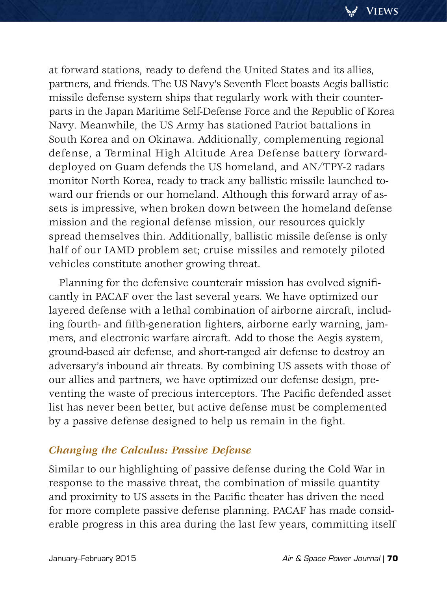at forward stations, ready to defend the United States and its allies, partners, and friends. The US Navy's Seventh Fleet boasts Aegis ballistic missile defense system ships that regularly work with their counterparts in the Japan Maritime Self-Defense Force and the Republic of Korea Navy. Meanwhile, the US Army has stationed Patriot battalions in South Korea and on Okinawa. Additionally, complementing regional defense, a Terminal High Altitude Area Defense battery forwarddeployed on Guam defends the US homeland, and AN/TPY-2 radars monitor North Korea, ready to track any ballistic missile launched toward our friends or our homeland. Although this forward array of assets is impressive, when broken down between the homeland defense mission and the regional defense mission, our resources quickly spread themselves thin. Additionally, ballistic missile defense is only half of our IAMD problem set; cruise missiles and remotely piloted vehicles constitute another growing threat.

Planning for the defensive counterair mission has evolved significantly in PACAF over the last several years. We have optimized our layered defense with a lethal combination of airborne aircraft, including fourth- and fifth-generation fighters, airborne early warning, jammers, and electronic warfare aircraft. Add to those the Aegis system, ground-based air defense, and short-ranged air defense to destroy an adversary's inbound air threats. By combining US assets with those of our allies and partners, we have optimized our defense design, preventing the waste of precious interceptors. The Pacific defended asset list has never been better, but active defense must be complemented by a passive defense designed to help us remain in the fight.

## *Changing the Calculus: Passive Defense*

Similar to our highlighting of passive defense during the Cold War in response to the massive threat, the combination of missile quantity and proximity to US assets in the Pacific theater has driven the need for more complete passive defense planning. PACAF has made considerable progress in this area during the last few years, committing itself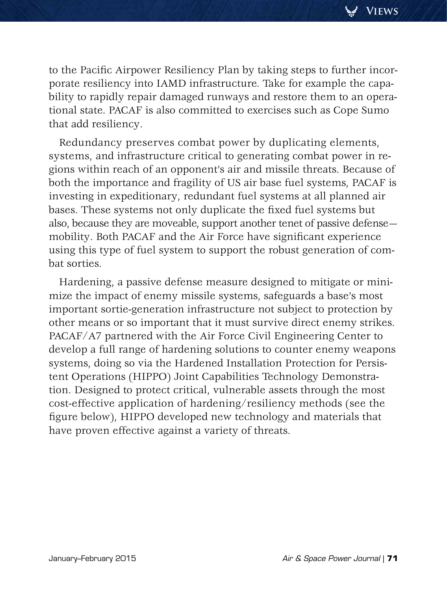to the Pacific Airpower Resiliency Plan by taking steps to further incorporate resiliency into IAMD infrastructure. Take for example the capability to rapidly repair damaged runways and restore them to an operational state. PACAF is also committed to exercises such as Cope Sumo that add resiliency.

Redundancy preserves combat power by duplicating elements, systems, and infrastructure critical to generating combat power in regions within reach of an opponent's air and missile threats. Because of both the importance and fragility of US air base fuel systems, PACAF is investing in expeditionary, redundant fuel systems at all planned air bases. These systems not only duplicate the fixed fuel systems but also, because they are moveable, support another tenet of passive defense mobility. Both PACAF and the Air Force have significant experience using this type of fuel system to support the robust generation of combat sorties.

Hardening, a passive defense measure designed to mitigate or minimize the impact of enemy missile systems, safeguards a base's most important sortie-generation infrastructure not subject to protection by other means or so important that it must survive direct enemy strikes. PACAF/A7 partnered with the Air Force Civil Engineering Center to develop a full range of hardening solutions to counter enemy weapons systems, doing so via the Hardened Installation Protection for Persistent Operations (HIPPO) Joint Capabilities Technology Demonstration. Designed to protect critical, vulnerable assets through the most cost-effective application of hardening/resiliency methods (see the figure below), HIPPO developed new technology and materials that have proven effective against a variety of threats.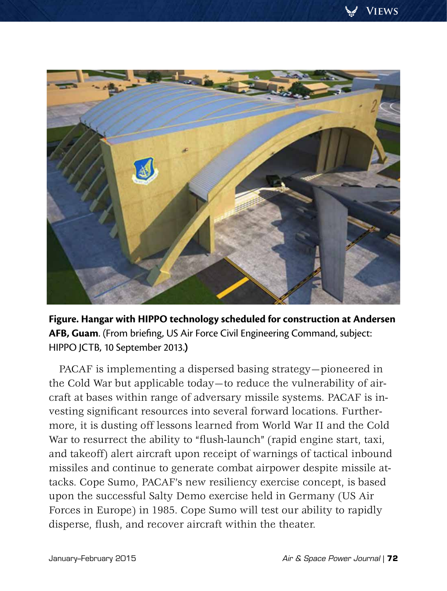

**Figure. Hangar with HIPPO technology scheduled for construction at Andersen AFB, Guam**. (From briefing, US Air Force Civil Engineering Command, subject: HIPPO JCTB, 10 September 2013.**)**

PACAF is implementing a dispersed basing strategy—pioneered in the Cold War but applicable today—to reduce the vulnerability of aircraft at bases within range of adversary missile systems. PACAF is investing significant resources into several forward locations. Furthermore, it is dusting off lessons learned from World War II and the Cold War to resurrect the ability to "flush-launch" (rapid engine start, taxi, and takeoff) alert aircraft upon receipt of warnings of tactical inbound missiles and continue to generate combat airpower despite missile attacks. Cope Sumo, PACAF's new resiliency exercise concept, is based upon the successful Salty Demo exercise held in Germany (US Air Forces in Europe) in 1985. Cope Sumo will test our ability to rapidly disperse, flush, and recover aircraft within the theater.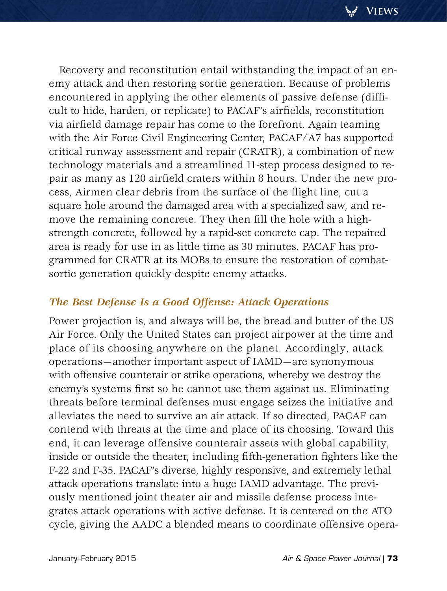Recovery and reconstitution entail withstanding the impact of an enemy attack and then restoring sortie generation. Because of problems encountered in applying the other elements of passive defense (difficult to hide, harden, or replicate) to PACAF's airfields, reconstitution via airfield damage repair has come to the forefront. Again teaming with the Air Force Civil Engineering Center, PACAF/A7 has supported critical runway assessment and repair (CRATR), a combination of new technology materials and a streamlined 11-step process designed to repair as many as 120 airfield craters within 8 hours. Under the new process, Airmen clear debris from the surface of the flight line, cut a square hole around the damaged area with a specialized saw, and remove the remaining concrete. They then fill the hole with a highstrength concrete, followed by a rapid-set concrete cap. The repaired area is ready for use in as little time as 30 minutes. PACAF has programmed for CRATR at its MOBs to ensure the restoration of combatsortie generation quickly despite enemy attacks.

## *The Best Defense Is a Good Offense: Attack Operations*

Power projection is, and always will be, the bread and butter of the US Air Force. Only the United States can project airpower at the time and place of its choosing anywhere on the planet. Accordingly, attack operations—another important aspect of IAMD—are synonymous with offensive counterair or strike operations, whereby we destroy the enemy's systems first so he cannot use them against us. Eliminating threats before terminal defenses must engage seizes the initiative and alleviates the need to survive an air attack. If so directed, PACAF can contend with threats at the time and place of its choosing. Toward this end, it can leverage offensive counterair assets with global capability, inside or outside the theater, including fifth-generation fighters like the F-22 and F-35. PACAF's diverse, highly responsive, and extremely lethal attack operations translate into a huge IAMD advantage. The previously mentioned joint theater air and missile defense process integrates attack operations with active defense. It is centered on the ATO cycle, giving the AADC a blended means to coordinate offensive opera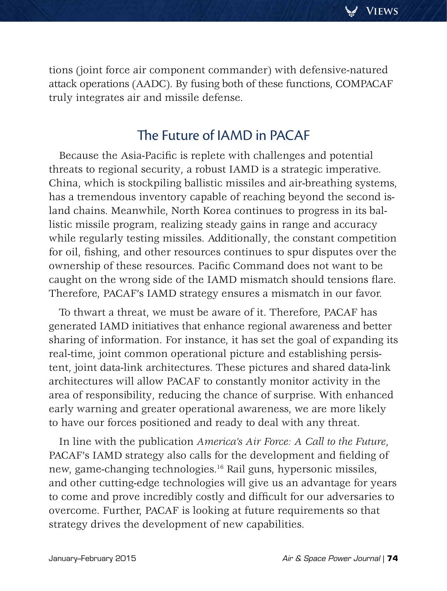tions (joint force air component commander) with defensive-natured attack operations (AADC). By fusing both of these functions, COMPACAF truly integrates air and missile defense.

# The Future of IAMD in PACAF

Because the Asia-Pacific is replete with challenges and potential threats to regional security, a robust IAMD is a strategic imperative. China, which is stockpiling ballistic missiles and air-breathing systems, has a tremendous inventory capable of reaching beyond the second island chains. Meanwhile, North Korea continues to progress in its ballistic missile program, realizing steady gains in range and accuracy while regularly testing missiles. Additionally, the constant competition for oil, fishing, and other resources continues to spur disputes over the ownership of these resources. Pacific Command does not want to be caught on the wrong side of the IAMD mismatch should tensions flare. Therefore, PACAF's IAMD strategy ensures a mismatch in our favor.

To thwart a threat, we must be aware of it. Therefore, PACAF has generated IAMD initiatives that enhance regional awareness and better sharing of information. For instance, it has set the goal of expanding its real-time, joint common operational picture and establishing persistent, joint data-link architectures. These pictures and shared data-link architectures will allow PACAF to constantly monitor activity in the area of responsibility, reducing the chance of surprise. With enhanced early warning and greater operational awareness, we are more likely to have our forces positioned and ready to deal with any threat.

In line with the publication *America's Air Force: A Call to the Future*, PACAF's IAMD strategy also calls for the development and fielding of new, game-changing technologies.16 Rail guns, hypersonic missiles, and other cutting-edge technologies will give us an advantage for years to come and prove incredibly costly and difficult for our adversaries to overcome. Further, PACAF is looking at future requirements so that strategy drives the development of new capabilities.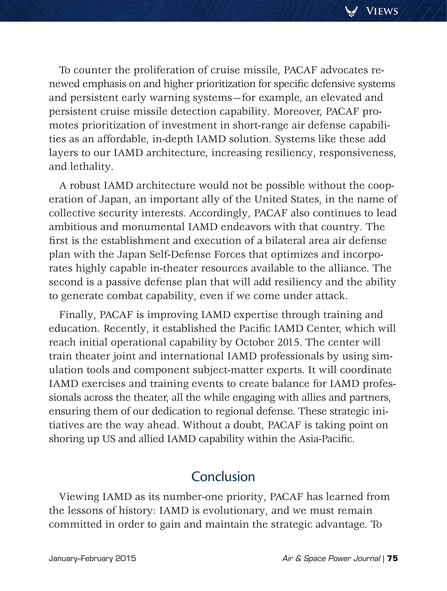To counter the proliferation of cruise missile, PACAF advocates renewed emphasis on and higher prioritization for specific defensive systems and persistent early warning systems—for example, an elevated and persistent cruise missile detection capability. Moreover, PACAF promotes prioritization of investment in short-range air defense capabilities as an affordable, in-depth IAMD solution. Systems like these add layers to our IAMD architecture, increasing resiliency, responsiveness, and lethality.

A robust IAMD architecture would not be possible without the cooperation of Japan, an important ally of the United States, in the name of collective security interests. Accordingly, PACAF also continues to lead ambitious and monumental IAMD endeavors with that country. The first is the establishment and execution of a bilateral area air defense plan with the Japan Self-Defense Forces that optimizes and incorporates highly capable in-theater resources available to the alliance. The second is a passive defense plan that will add resiliency and the ability to generate combat capability, even if we come under attack.

Finally, PACAF is improving IAMD expertise through training and education. Recently, it established the Pacific IAMD Center, which will reach initial operational capability by October 2015. The center will train theater joint and international IAMD professionals by using simulation tools and component subject-matter experts. It will coordinate IAMD exercises and training events to create balance for IAMD professionals across the theater, all the while engaging with allies and partners, ensuring them of our dedication to regional defense. These strategic initiatives are the way ahead. Without a doubt, PACAF is taking point on shoring up US and allied IAMD capability within the Asia-Pacific.

## Conclusion

Viewing IAMD as its number-one priority, PACAF has learned from the lessons of history: IAMD is evolutionary, and we must remain committed in order to gain and maintain the strategic advantage. To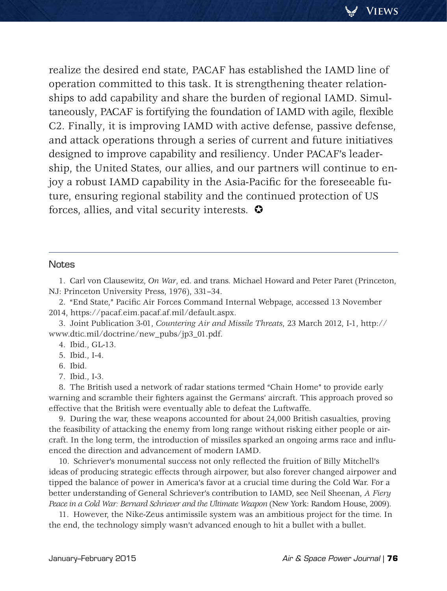realize the desired end state, PACAF has established the IAMD line of operation committed to this task. It is strengthening theater relationships to add capability and share the burden of regional IAMD. Simultaneously, PACAF is fortifying the foundation of IAMD with agile, flexible C2. Finally, it is improving IAMD with active defense, passive defense, and attack operations through a series of current and future initiatives designed to improve capability and resiliency. Under PACAF's leadership, the United States, our allies, and our partners will continue to enjoy a robust IAMD capability in the Asia-Pacific for the foreseeable future, ensuring regional stability and the continued protection of US forces, allies, and vital security interests.  $\bullet$ 

#### **Notes**

1. Carl von Clausewitz, *On War*, ed. and trans. Michael Howard and Peter Paret (Princeton, NJ: Princeton University Press, 1976), 331–34.

2. "End State," Pacific Air Forces Command Internal Webpage, accessed 13 November 2014, https://pacaf.eim.pacaf.af.mil/default.aspx.

3. Joint Publication 3-01, *Countering Air and Missile Threats*, 23 March 2012, I-1, http:// www.dtic.mil/doctrine/new\_pubs/jp3\_01.pdf.

4. Ibid., GL-13.

5. Ibid., I-4.

6. Ibid.

7. Ibid., I-3.

8. The British used a network of radar stations termed "Chain Home" to provide early warning and scramble their fighters against the Germans' aircraft. This approach proved so effective that the British were eventually able to defeat the Luftwaffe.

9. During the war, these weapons accounted for about 24,000 British casualties, proving the feasibility of attacking the enemy from long range without risking either people or aircraft. In the long term, the introduction of missiles sparked an ongoing arms race and influenced the direction and advancement of modern IAMD.

10. Schriever's monumental success not only reflected the fruition of Billy Mitchell's ideas of producing strategic effects through airpower, but also forever changed airpower and tipped the balance of power in America's favor at a crucial time during the Cold War. For a better understanding of General Schriever's contribution to IAMD, see Neil Sheenan, *A Fiery Peace in a Cold War: Bernard Schriever and the Ultimate Weapon* (New York: Random House, 2009).

11. However, the Nike-Zeus antimissile system was an ambitious project for the time. In the end, the technology simply wasn't advanced enough to hit a bullet with a bullet.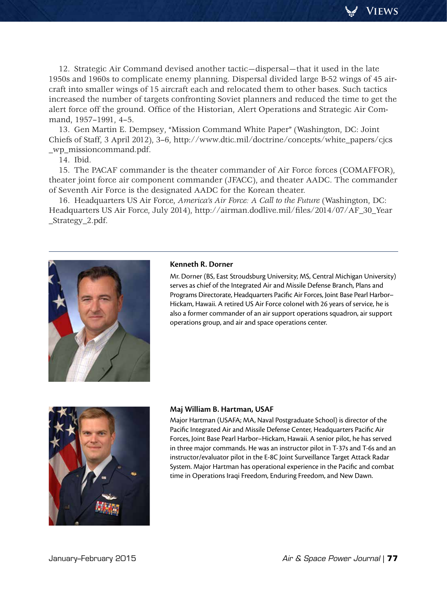<span id="page-16-0"></span>12. Strategic Air Command devised another tactic—dispersal—that it used in the late 1950s and 1960s to complicate enemy planning. Dispersal divided large B-52 wings of 45 aircraft into smaller wings of 15 aircraft each and relocated them to other bases. Such tactics increased the number of targets confronting Soviet planners and reduced the time to get the alert force off the ground. Office of the Historian, Alert Operations and Strategic Air Command, 1957–1991, 4–5.

13. Gen Martin E. Dempsey, "Mission Command White Paper" (Washington, DC: Joint Chiefs of Staff, 3 April 2012), 3–6, http://www.dtic.mil/doctrine/concepts/white\_papers/cjcs \_wp\_missioncommand.pdf.

14. Ibid.

15. The PACAF commander is the theater commander of Air Force forces (COMAFFOR), theater joint force air component commander (JFACC), and theater AADC. The commander of Seventh Air Force is the designated AADC for the Korean theater.

16. Headquarters US Air Force, *America's Air Force: A Call to the Future* (Washington, DC: Headquarters US Air Force, July 2014), http://airman.dodlive.mil/files/2014/07/AF\_30\_Year \_Strategy\_2.pdf.



#### **Kenneth R. Dorner**

Mr. Dorner (BS, East Stroudsburg University; MS, Central Michigan University) serves as chief of the Integrated Air and Missile Defense Branch, Plans and Programs Directorate, Headquarters Pacific Air Forces, Joint Base Pearl Harbor– Hickam, Hawaii. A retired US Air Force colonel with 26 years of service, he is also a former commander of an air support operations squadron, air support operations group, and air and space operations center.



#### **Maj William B. Hartman, USAF**

Major Hartman (USAFA; MA, Naval Postgraduate School) is director of the Pacific Integrated Air and Missile Defense Center, Headquarters Pacific Air Forces, Joint Base Pearl Harbor–Hickam, Hawaii. A senior pilot, he has served in three major commands. He was an instructor pilot in T-37s and T-6s and an instructor/evaluator pilot in the E-8C Joint Surveillance Target Attack Radar System. Major Hartman has operational experience in the Pacific and combat time in Operations Iraqi Freedom, Enduring Freedom, and New Dawn.